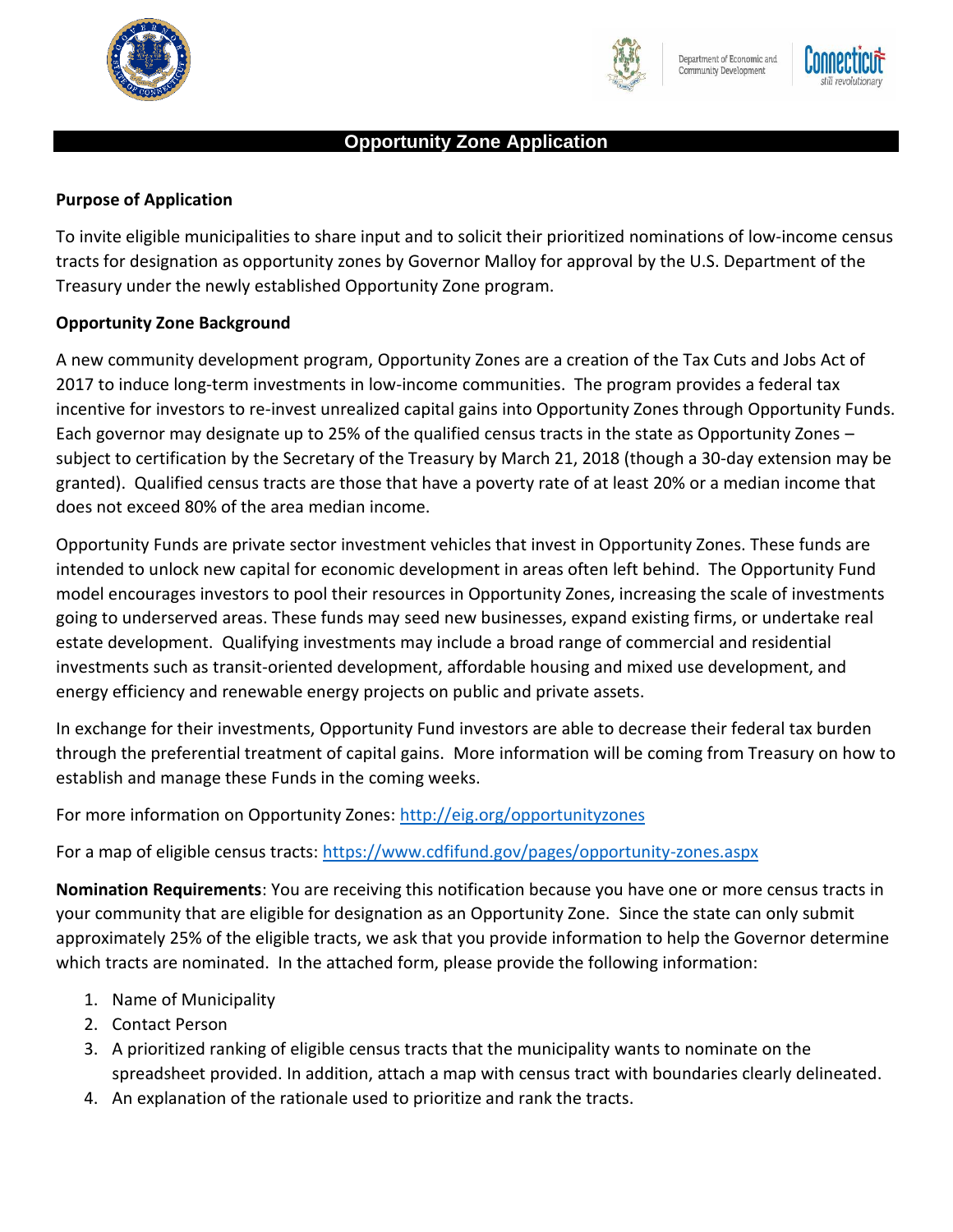





## **Opportunity Zone Application**

#### **Purpose of Application**

To invite eligible municipalities to share input and to solicit their prioritized nominations of low-income census tracts for designation as opportunity zones by Governor Malloy for approval by the U.S. Department of the Treasury under the newly established Opportunity Zone program.

#### **Opportunity Zone Background**

A new community development program, Opportunity Zones are a creation of the Tax Cuts and Jobs Act of 2017 to induce long-term investments in low-income communities. The program provides a federal tax incentive for investors to re-invest unrealized capital gains into Opportunity Zones through Opportunity Funds. Each governor may designate up to 25% of the qualified census tracts in the state as Opportunity Zones – subject to certification by the Secretary of the Treasury by March 21, 2018 (though a 30-day extension may be granted). Qualified census tracts are those that have a poverty rate of at least 20% or a median income that does not exceed 80% of the area median income.

Opportunity Funds are private sector investment vehicles that invest in Opportunity Zones. These funds are intended to unlock new capital for economic development in areas often left behind. The Opportunity Fund model encourages investors to pool their resources in Opportunity Zones, increasing the scale of investments going to underserved areas. These funds may seed new businesses, expand existing firms, or undertake real estate development. Qualifying investments may include a broad range of commercial and residential investments such as transit-oriented development, affordable housing and mixed use development, and energy efficiency and renewable energy projects on public and private assets.

In exchange for their investments, Opportunity Fund investors are able to decrease their federal tax burden through the preferential treatment of capital gains. More information will be coming from Treasury on how to establish and manage these Funds in the coming weeks.

For more information on Opportunity Zones:<http://eig.org/opportunityzones>

For a map of eligible census tracts:<https://www.cdfifund.gov/pages/opportunity-zones.aspx>

**Nomination Requirements**: You are receiving this notification because you have one or more census tracts in your community that are eligible for designation as an Opportunity Zone. Since the state can only submit approximately 25% of the eligible tracts, we ask that you provide information to help the Governor determine which tracts are nominated. In the attached form, please provide the following information:

- 1. Name of Municipality
- 2. Contact Person
- 3. A prioritized ranking of eligible census tracts that the municipality wants to nominate on the spreadsheet provided. In addition, attach a map with census tract with boundaries clearly delineated.
- 4. An explanation of the rationale used to prioritize and rank the tracts.